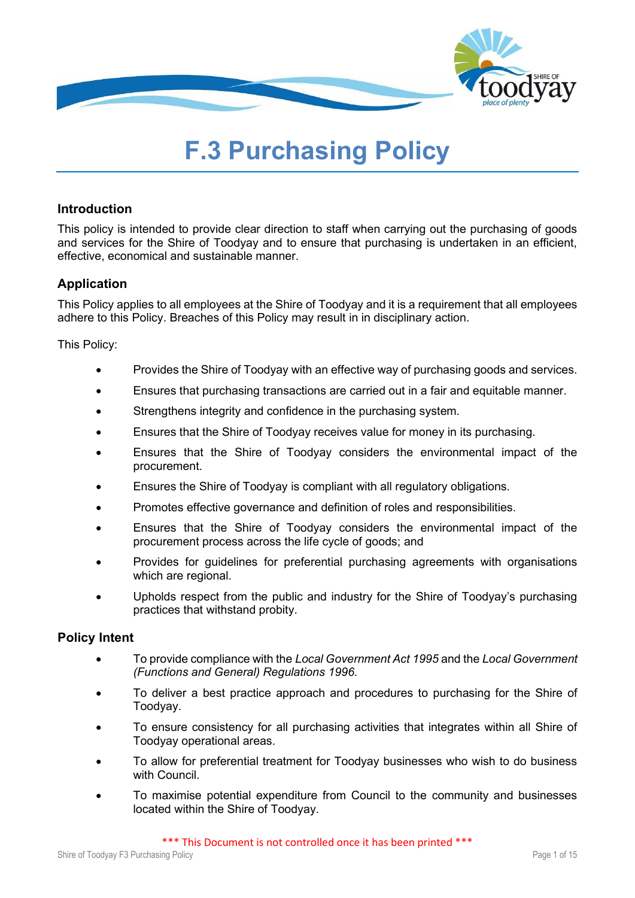

# **F.3 Purchasing Policy**

# **Introduction**

This policy is intended to provide clear direction to staff when carrying out the purchasing of goods and services for the Shire of Toodyay and to ensure that purchasing is undertaken in an efficient, effective, economical and sustainable manner.

# **Application**

This Policy applies to all employees at the Shire of Toodyay and it is a requirement that all employees adhere to this Policy. Breaches of this Policy may result in in disciplinary action.

This Policy:

- Provides the Shire of Toodyay with an effective way of purchasing goods and services.
- Ensures that purchasing transactions are carried out in a fair and equitable manner.
- Strengthens integrity and confidence in the purchasing system.
- Ensures that the Shire of Toodyay receives value for money in its purchasing.
- Ensures that the Shire of Toodyay considers the environmental impact of the procurement.
- Ensures the Shire of Toodyay is compliant with all regulatory obligations.
- Promotes effective governance and definition of roles and responsibilities.
- Ensures that the Shire of Toodyay considers the environmental impact of the procurement process across the life cycle of goods; and
- Provides for guidelines for preferential purchasing agreements with organisations which are regional.
- Upholds respect from the public and industry for the Shire of Toodyay's purchasing practices that withstand probity.

## **Policy Intent**

- To provide compliance with the *Local Government Act 1995* and the *Local Government (Functions and General) Regulations 1996.*
- To deliver a best practice approach and procedures to purchasing for the Shire of Toodyay.
- To ensure consistency for all purchasing activities that integrates within all Shire of Toodyay operational areas.
- To allow for preferential treatment for Toodyay businesses who wish to do business with Council.
- To maximise potential expenditure from Council to the community and businesses located within the Shire of Toodyay.

\*\*\* This Document is not controlled once it has been printed \*\*\*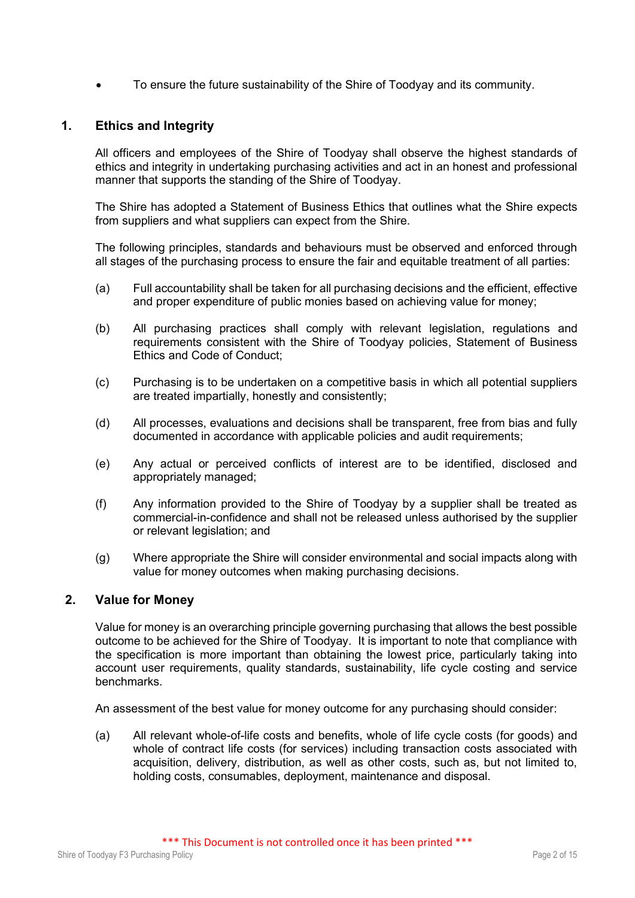• To ensure the future sustainability of the Shire of Toodyay and its community.

# **1. Ethics and Integrity**

All officers and employees of the Shire of Toodyay shall observe the highest standards of ethics and integrity in undertaking purchasing activities and act in an honest and professional manner that supports the standing of the Shire of Toodyay.

The Shire has adopted a Statement of Business Ethics that outlines what the Shire expects from suppliers and what suppliers can expect from the Shire.

The following principles, standards and behaviours must be observed and enforced through all stages of the purchasing process to ensure the fair and equitable treatment of all parties:

- (a) Full accountability shall be taken for all purchasing decisions and the efficient, effective and proper expenditure of public monies based on achieving value for money;
- (b) All purchasing practices shall comply with relevant legislation, regulations and requirements consistent with the Shire of Toodyay policies, Statement of Business Ethics and Code of Conduct;
- (c) Purchasing is to be undertaken on a competitive basis in which all potential suppliers are treated impartially, honestly and consistently;
- (d) All processes, evaluations and decisions shall be transparent, free from bias and fully documented in accordance with applicable policies and audit requirements;
- (e) Any actual or perceived conflicts of interest are to be identified, disclosed and appropriately managed;
- (f) Any information provided to the Shire of Toodyay by a supplier shall be treated as commercial-in-confidence and shall not be released unless authorised by the supplier or relevant legislation; and
- (g) Where appropriate the Shire will consider environmental and social impacts along with value for money outcomes when making purchasing decisions.

# **2. Value for Money**

Value for money is an overarching principle governing purchasing that allows the best possible outcome to be achieved for the Shire of Toodyay. It is important to note that compliance with the specification is more important than obtaining the lowest price, particularly taking into account user requirements, quality standards, sustainability, life cycle costing and service benchmarks.

An assessment of the best value for money outcome for any purchasing should consider:

(a) All relevant whole-of-life costs and benefits, whole of life cycle costs (for goods) and whole of contract life costs (for services) including transaction costs associated with acquisition, delivery, distribution, as well as other costs, such as, but not limited to, holding costs, consumables, deployment, maintenance and disposal.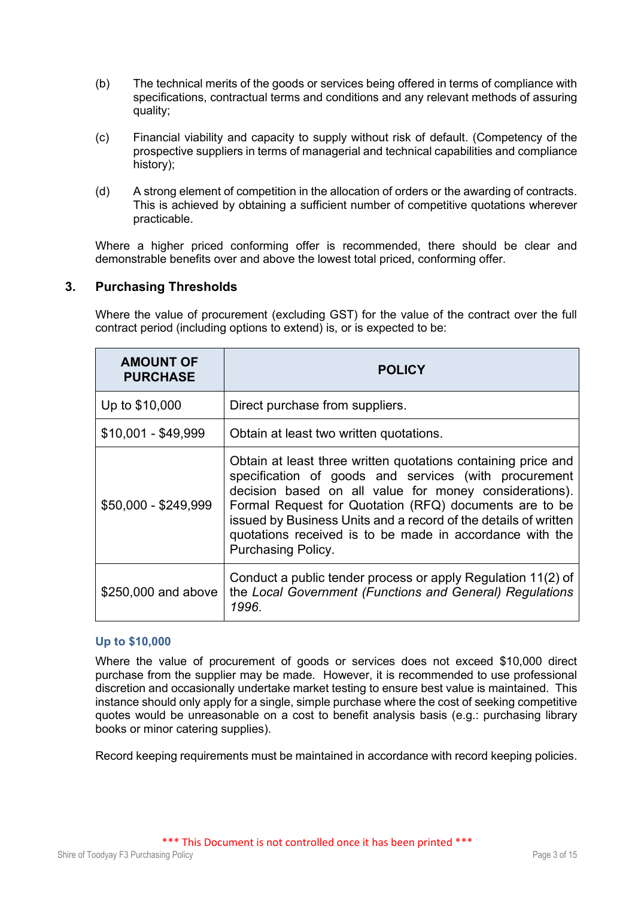- (b) The technical merits of the goods or services being offered in terms of compliance with specifications, contractual terms and conditions and any relevant methods of assuring quality;
- (c) Financial viability and capacity to supply without risk of default. (Competency of the prospective suppliers in terms of managerial and technical capabilities and compliance history);
- (d) A strong element of competition in the allocation of orders or the awarding of contracts. This is achieved by obtaining a sufficient number of competitive quotations wherever practicable.

Where a higher priced conforming offer is recommended, there should be clear and demonstrable benefits over and above the lowest total priced, conforming offer.

## **3. Purchasing Thresholds**

Where the value of procurement (excluding GST) for the value of the contract over the full contract period (including options to extend) is, or is expected to be:

| <b>AMOUNT OF</b><br><b>PURCHASE</b> | <b>POLICY</b>                                                                                                                                                                                                                                                                                                                                                                                          |
|-------------------------------------|--------------------------------------------------------------------------------------------------------------------------------------------------------------------------------------------------------------------------------------------------------------------------------------------------------------------------------------------------------------------------------------------------------|
| Up to \$10,000                      | Direct purchase from suppliers.                                                                                                                                                                                                                                                                                                                                                                        |
| $$10,001 - $49,999$                 | Obtain at least two written quotations.                                                                                                                                                                                                                                                                                                                                                                |
| \$50,000 - \$249,999                | Obtain at least three written quotations containing price and<br>specification of goods and services (with procurement<br>decision based on all value for money considerations).<br>Formal Request for Quotation (RFQ) documents are to be<br>issued by Business Units and a record of the details of written<br>quotations received is to be made in accordance with the<br><b>Purchasing Policy.</b> |
| \$250,000 and above                 | Conduct a public tender process or apply Regulation 11(2) of<br>the Local Government (Functions and General) Regulations<br>1996.                                                                                                                                                                                                                                                                      |

#### **Up to \$10,000**

Where the value of procurement of goods or services does not exceed \$10,000 direct purchase from the supplier may be made. However, it is recommended to use professional discretion and occasionally undertake market testing to ensure best value is maintained. This instance should only apply for a single, simple purchase where the cost of seeking competitive quotes would be unreasonable on a cost to benefit analysis basis (e.g.: purchasing library books or minor catering supplies).

Record keeping requirements must be maintained in accordance with record keeping policies.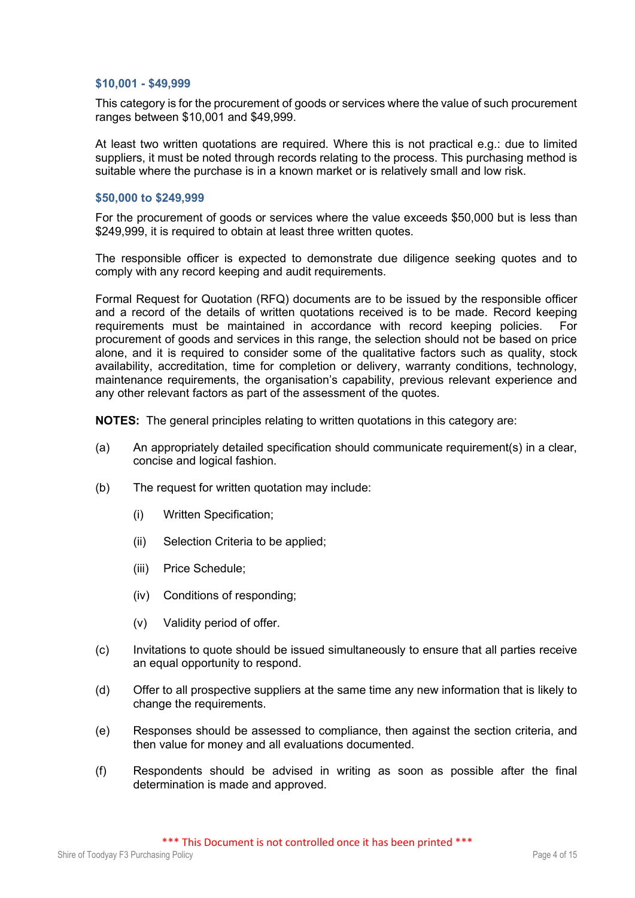#### **\$10,001 - \$49,999**

This category is for the procurement of goods or services where the value of such procurement ranges between \$10,001 and \$49,999.

At least two written quotations are required. Where this is not practical e.g.: due to limited suppliers, it must be noted through records relating to the process. This purchasing method is suitable where the purchase is in a known market or is relatively small and low risk.

#### **\$50,000 to \$249,999**

For the procurement of goods or services where the value exceeds \$50,000 but is less than \$249,999, it is required to obtain at least three written quotes.

The responsible officer is expected to demonstrate due diligence seeking quotes and to comply with any record keeping and audit requirements.

Formal Request for Quotation (RFQ) documents are to be issued by the responsible officer and a record of the details of written quotations received is to be made. Record keeping requirements must be maintained in accordance with record keeping policies. For procurement of goods and services in this range, the selection should not be based on price alone, and it is required to consider some of the qualitative factors such as quality, stock availability, accreditation, time for completion or delivery, warranty conditions, technology, maintenance requirements, the organisation's capability, previous relevant experience and any other relevant factors as part of the assessment of the quotes.

**NOTES:** The general principles relating to written quotations in this category are:

- (a) An appropriately detailed specification should communicate requirement(s) in a clear, concise and logical fashion.
- (b) The request for written quotation may include:
	- (i) Written Specification;
	- (ii) Selection Criteria to be applied;
	- (iii) Price Schedule;
	- (iv) Conditions of responding;
	- (v) Validity period of offer.
- (c) Invitations to quote should be issued simultaneously to ensure that all parties receive an equal opportunity to respond.
- (d) Offer to all prospective suppliers at the same time any new information that is likely to change the requirements.
- (e) Responses should be assessed to compliance, then against the section criteria, and then value for money and all evaluations documented.
- (f) Respondents should be advised in writing as soon as possible after the final determination is made and approved.

\*\*\* This Document is not controlled once it has been printed \*\*\*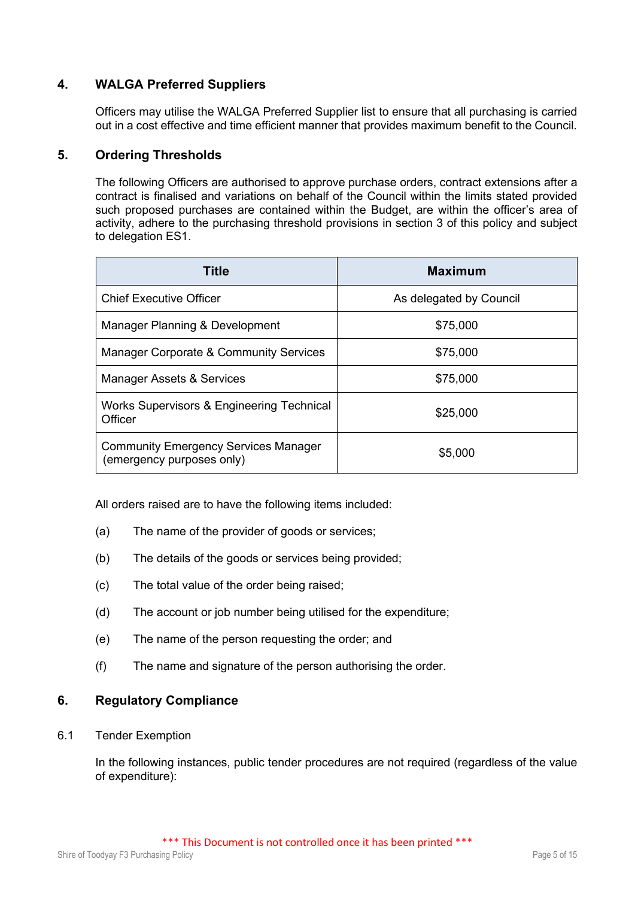# **4. WALGA Preferred Suppliers**

Officers may utilise the WALGA Preferred Supplier list to ensure that all purchasing is carried out in a cost effective and time efficient manner that provides maximum benefit to the Council.

# **5. Ordering Thresholds**

The following Officers are authorised to approve purchase orders, contract extensions after a contract is finalised and variations on behalf of the Council within the limits stated provided such proposed purchases are contained within the Budget, are within the officer's area of activity, adhere to the purchasing threshold provisions in section 3 of this policy and subject to delegation ES1.

| <b>Title</b>                                                             | <b>Maximum</b>          |
|--------------------------------------------------------------------------|-------------------------|
| <b>Chief Executive Officer</b>                                           | As delegated by Council |
| Manager Planning & Development                                           | \$75,000                |
| <b>Manager Corporate &amp; Community Services</b>                        | \$75,000                |
| Manager Assets & Services                                                | \$75,000                |
| Works Supervisors & Engineering Technical<br>Officer                     | \$25,000                |
| <b>Community Emergency Services Manager</b><br>(emergency purposes only) | \$5,000                 |

All orders raised are to have the following items included:

- (a) The name of the provider of goods or services;
- (b) The details of the goods or services being provided;
- (c) The total value of the order being raised;
- (d) The account or job number being utilised for the expenditure;
- (e) The name of the person requesting the order; and
- (f) The name and signature of the person authorising the order.

## **6. Regulatory Compliance**

6.1 Tender Exemption

In the following instances, public tender procedures are not required (regardless of the value of expenditure):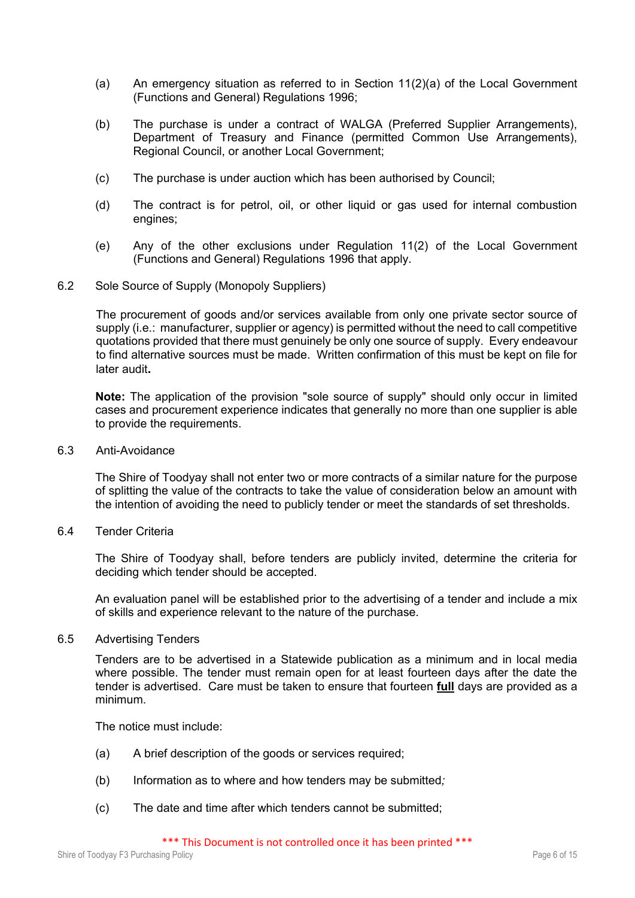- (a) An emergency situation as referred to in Section 11(2)(a) of the Local Government (Functions and General) Regulations 1996;
- (b) The purchase is under a contract of WALGA (Preferred Supplier Arrangements), Department of Treasury and Finance (permitted Common Use Arrangements), Regional Council, or another Local Government;
- (c) The purchase is under auction which has been authorised by Council;
- (d) The contract is for petrol, oil, or other liquid or gas used for internal combustion engines;
- (e) Any of the other exclusions under Regulation 11(2) of the Local Government (Functions and General) Regulations 1996 that apply.
- 6.2 Sole Source of Supply (Monopoly Suppliers)

The procurement of goods and/or services available from only one private sector source of supply (i.e.: manufacturer, supplier or agency) is permitted without the need to call competitive quotations provided that there must genuinely be only one source of supply. Every endeavour to find alternative sources must be made. Written confirmation of this must be kept on file for later audit**.** 

**Note:** The application of the provision "sole source of supply" should only occur in limited cases and procurement experience indicates that generally no more than one supplier is able to provide the requirements.

6.3 Anti-Avoidance

The Shire of Toodyay shall not enter two or more contracts of a similar nature for the purpose of splitting the value of the contracts to take the value of consideration below an amount with the intention of avoiding the need to publicly tender or meet the standards of set thresholds.

6.4 Tender Criteria

The Shire of Toodyay shall, before tenders are publicly invited, determine the criteria for deciding which tender should be accepted.

An evaluation panel will be established prior to the advertising of a tender and include a mix of skills and experience relevant to the nature of the purchase.

6.5 Advertising Tenders

Tenders are to be advertised in a Statewide publication as a minimum and in local media where possible. The tender must remain open for at least fourteen days after the date the tender is advertised. Care must be taken to ensure that fourteen **full** days are provided as a minimum.

The notice must include:

- (a) A brief description of the goods or services required;
- (b) Information as to where and how tenders may be submitted*;*
- (c) The date and time after which tenders cannot be submitted;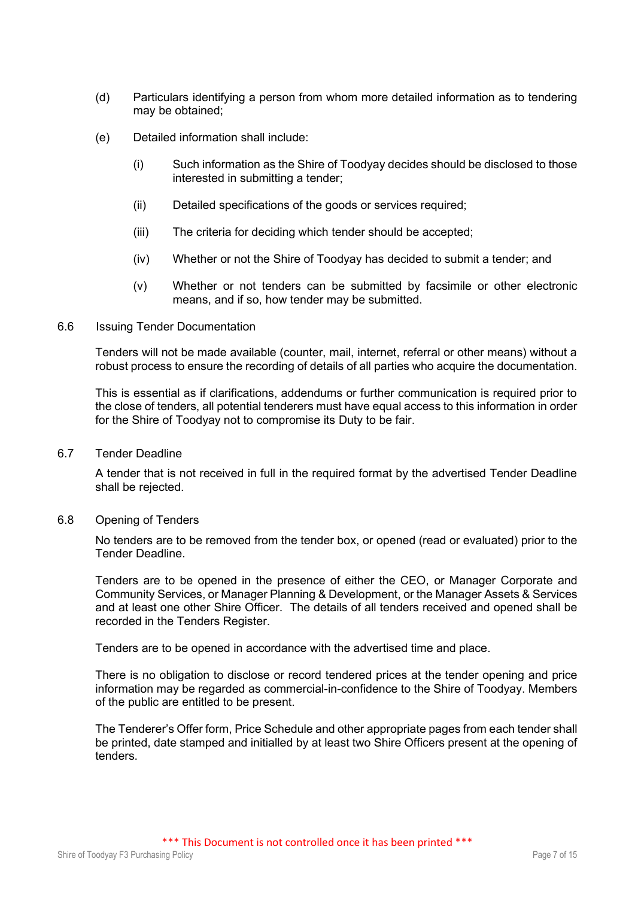- (d) Particulars identifying a person from whom more detailed information as to tendering may be obtained;
- (e) Detailed information shall include:
	- (i) Such information as the Shire of Toodyay decides should be disclosed to those interested in submitting a tender;
	- (ii) Detailed specifications of the goods or services required;
	- (iii) The criteria for deciding which tender should be accepted;
	- (iv) Whether or not the Shire of Toodyay has decided to submit a tender; and
	- (v) Whether or not tenders can be submitted by facsimile or other electronic means, and if so, how tender may be submitted.

#### 6.6 Issuing Tender Documentation

Tenders will not be made available (counter, mail, internet, referral or other means) without a robust process to ensure the recording of details of all parties who acquire the documentation.

This is essential as if clarifications, addendums or further communication is required prior to the close of tenders, all potential tenderers must have equal access to this information in order for the Shire of Toodyay not to compromise its Duty to be fair.

6.7 Tender Deadline

A tender that is not received in full in the required format by the advertised Tender Deadline shall be rejected.

#### 6.8 Opening of Tenders

No tenders are to be removed from the tender box, or opened (read or evaluated) prior to the Tender Deadline.

Tenders are to be opened in the presence of either the CEO, or Manager Corporate and Community Services, or Manager Planning & Development, or the Manager Assets & Services and at least one other Shire Officer. The details of all tenders received and opened shall be recorded in the Tenders Register.

Tenders are to be opened in accordance with the advertised time and place.

There is no obligation to disclose or record tendered prices at the tender opening and price information may be regarded as commercial-in-confidence to the Shire of Toodyay. Members of the public are entitled to be present.

The Tenderer's Offer form, Price Schedule and other appropriate pages from each tender shall be printed, date stamped and initialled by at least two Shire Officers present at the opening of tenders.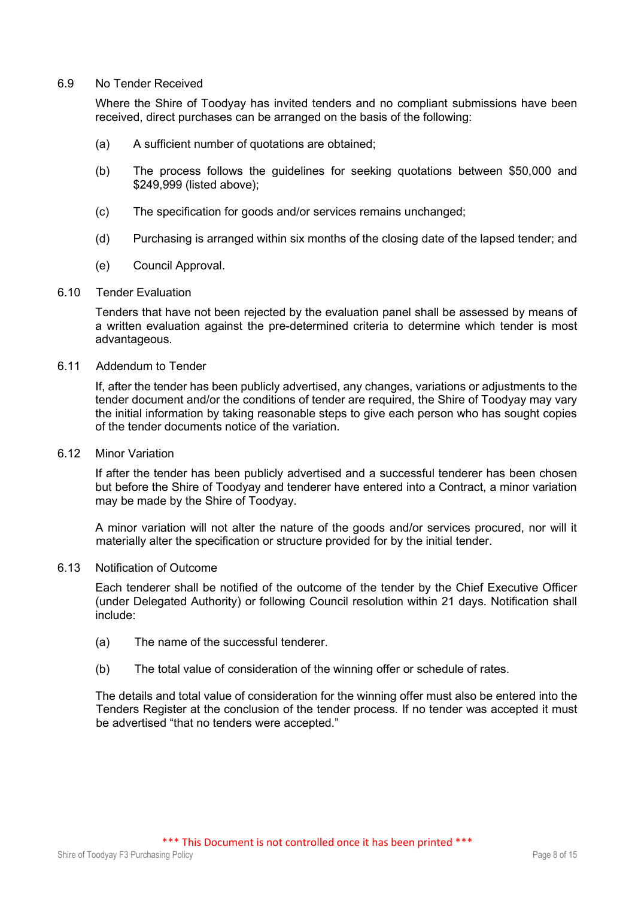#### 6.9 No Tender Received

Where the Shire of Toodyay has invited tenders and no compliant submissions have been received, direct purchases can be arranged on the basis of the following:

- (a) A sufficient number of quotations are obtained;
- (b) The process follows the guidelines for seeking quotations between \$50,000 and \$249,999 (listed above);
- (c) The specification for goods and/or services remains unchanged;
- (d) Purchasing is arranged within six months of the closing date of the lapsed tender; and
- (e) Council Approval.

#### 6.10 Tender Evaluation

Tenders that have not been rejected by the evaluation panel shall be assessed by means of a written evaluation against the pre-determined criteria to determine which tender is most advantageous.

#### 6.11 Addendum to Tender

If, after the tender has been publicly advertised, any changes, variations or adjustments to the tender document and/or the conditions of tender are required, the Shire of Toodyay may vary the initial information by taking reasonable steps to give each person who has sought copies of the tender documents notice of the variation.

6.12 Minor Variation

If after the tender has been publicly advertised and a successful tenderer has been chosen but before the Shire of Toodyay and tenderer have entered into a Contract, a minor variation may be made by the Shire of Toodyay.

A minor variation will not alter the nature of the goods and/or services procured, nor will it materially alter the specification or structure provided for by the initial tender.

#### 6.13 Notification of Outcome

Each tenderer shall be notified of the outcome of the tender by the Chief Executive Officer (under Delegated Authority) or following Council resolution within 21 days. Notification shall include:

- (a) The name of the successful tenderer.
- (b) The total value of consideration of the winning offer or schedule of rates.

The details and total value of consideration for the winning offer must also be entered into the Tenders Register at the conclusion of the tender process. If no tender was accepted it must be advertised "that no tenders were accepted."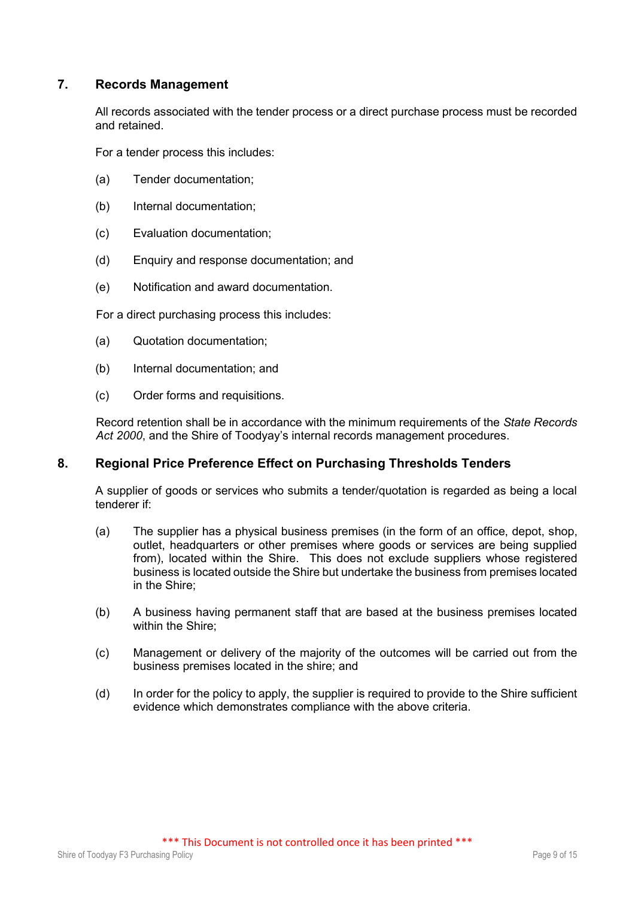# **7. Records Management**

All records associated with the tender process or a direct purchase process must be recorded and retained.

For a tender process this includes:

- (a) Tender documentation;
- (b) Internal documentation;
- (c) Evaluation documentation;
- (d) Enquiry and response documentation; and
- (e) Notification and award documentation.

For a direct purchasing process this includes:

- (a) Quotation documentation;
- (b) Internal documentation; and
- (c) Order forms and requisitions.

Record retention shall be in accordance with the minimum requirements of the *State Records Act 2000*, and the Shire of Toodyay's internal records management procedures.

# **8. Regional Price Preference Effect on Purchasing Thresholds Tenders**

A supplier of goods or services who submits a tender/quotation is regarded as being a local tenderer if:

- (a) The supplier has a physical business premises (in the form of an office, depot, shop, outlet, headquarters or other premises where goods or services are being supplied from), located within the Shire. This does not exclude suppliers whose registered business is located outside the Shire but undertake the business from premises located in the Shire;
- (b) A business having permanent staff that are based at the business premises located within the Shire:
- (c) Management or delivery of the majority of the outcomes will be carried out from the business premises located in the shire; and
- (d) In order for the policy to apply, the supplier is required to provide to the Shire sufficient evidence which demonstrates compliance with the above criteria.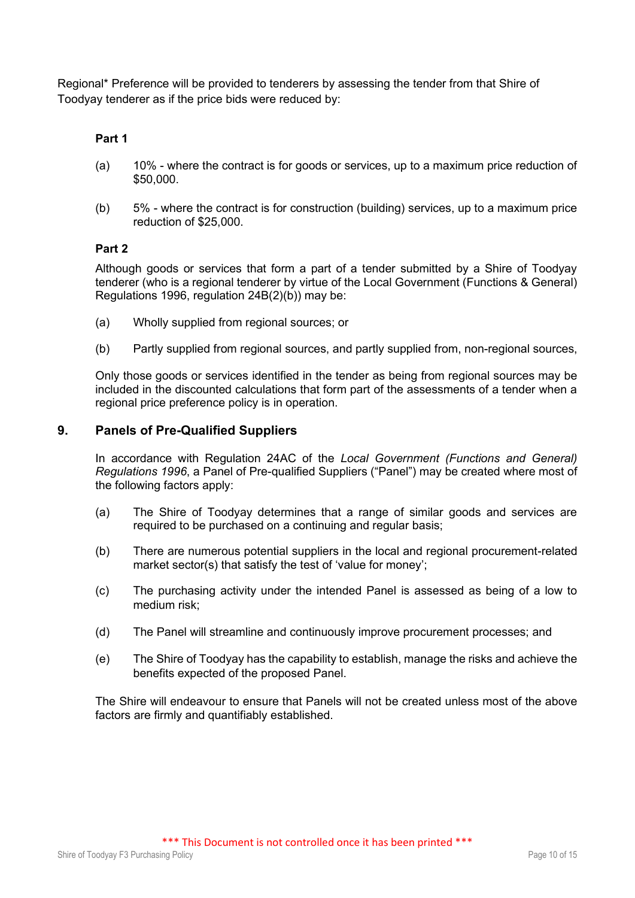Regional\* Preference will be provided to tenderers by assessing the tender from that Shire of Toodyay tenderer as if the price bids were reduced by:

## **Part 1**

- (a) 10% where the contract is for goods or services, up to a maximum price reduction of \$50,000.
- (b) 5% where the contract is for construction (building) services, up to a maximum price reduction of \$25,000.

## **Part 2**

Although goods or services that form a part of a tender submitted by a Shire of Toodyay tenderer (who is a regional tenderer by virtue of the Local Government (Functions & General) Regulations 1996, regulation 24B(2)(b)) may be:

- (a) Wholly supplied from regional sources; or
- (b) Partly supplied from regional sources, and partly supplied from, non-regional sources,

Only those goods or services identified in the tender as being from regional sources may be included in the discounted calculations that form part of the assessments of a tender when a regional price preference policy is in operation.

## **9. Panels of Pre-Qualified Suppliers**

In accordance with Regulation 24AC of the *Local Government (Functions and General) Regulations 1996*, a Panel of Pre-qualified Suppliers ("Panel") may be created where most of the following factors apply:

- (a) The Shire of Toodyay determines that a range of similar goods and services are required to be purchased on a continuing and regular basis;
- (b) There are numerous potential suppliers in the local and regional procurement-related market sector(s) that satisfy the test of 'value for money';
- (c) The purchasing activity under the intended Panel is assessed as being of a low to medium risk;
- (d) The Panel will streamline and continuously improve procurement processes; and
- (e) The Shire of Toodyay has the capability to establish, manage the risks and achieve the benefits expected of the proposed Panel.

The Shire will endeavour to ensure that Panels will not be created unless most of the above factors are firmly and quantifiably established.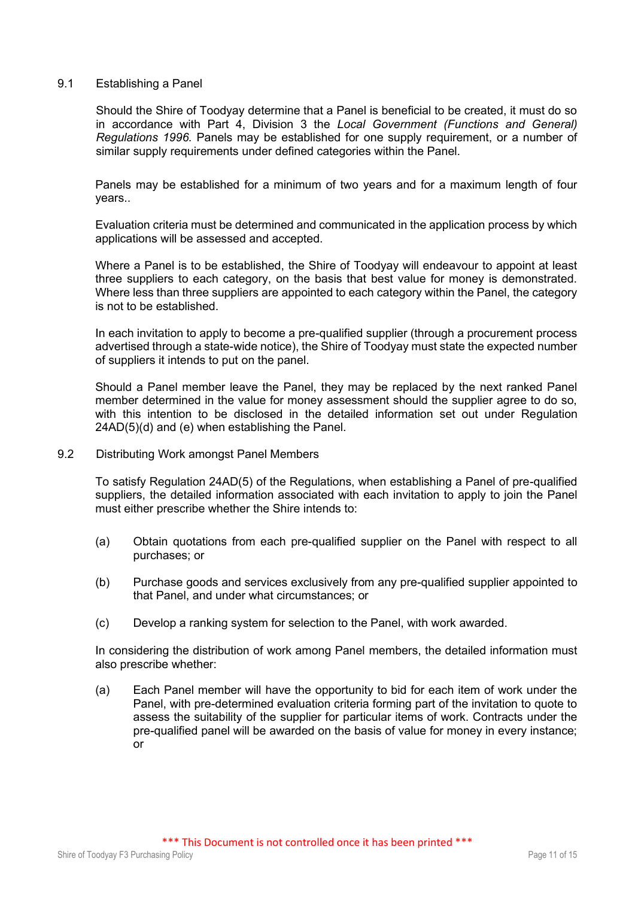#### 9.1 Establishing a Panel

Should the Shire of Toodyay determine that a Panel is beneficial to be created, it must do so in accordance with Part 4, Division 3 the *Local Government (Functions and General) Regulations 1996.* Panels may be established for one supply requirement, or a number of similar supply requirements under defined categories within the Panel.

Panels may be established for a minimum of two years and for a maximum length of four years..

Evaluation criteria must be determined and communicated in the application process by which applications will be assessed and accepted.

Where a Panel is to be established, the Shire of Toodyay will endeavour to appoint at least three suppliers to each category, on the basis that best value for money is demonstrated. Where less than three suppliers are appointed to each category within the Panel, the category is not to be established.

In each invitation to apply to become a pre-qualified supplier (through a procurement process advertised through a state-wide notice), the Shire of Toodyay must state the expected number of suppliers it intends to put on the panel.

Should a Panel member leave the Panel, they may be replaced by the next ranked Panel member determined in the value for money assessment should the supplier agree to do so, with this intention to be disclosed in the detailed information set out under Regulation 24AD(5)(d) and (e) when establishing the Panel.

#### 9.2 Distributing Work amongst Panel Members

To satisfy Regulation 24AD(5) of the Regulations, when establishing a Panel of pre-qualified suppliers, the detailed information associated with each invitation to apply to join the Panel must either prescribe whether the Shire intends to:

- (a) Obtain quotations from each pre-qualified supplier on the Panel with respect to all purchases; or
- (b) Purchase goods and services exclusively from any pre-qualified supplier appointed to that Panel, and under what circumstances; or
- (c) Develop a ranking system for selection to the Panel, with work awarded.

In considering the distribution of work among Panel members, the detailed information must also prescribe whether:

(a) Each Panel member will have the opportunity to bid for each item of work under the Panel, with pre-determined evaluation criteria forming part of the invitation to quote to assess the suitability of the supplier for particular items of work. Contracts under the pre-qualified panel will be awarded on the basis of value for money in every instance; or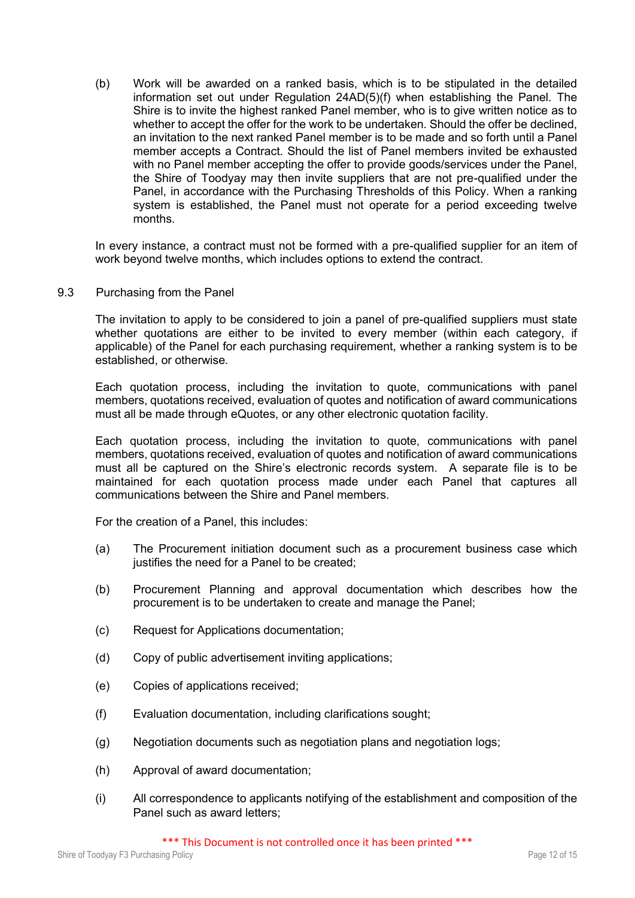(b) Work will be awarded on a ranked basis, which is to be stipulated in the detailed information set out under Regulation 24AD(5)(f) when establishing the Panel. The Shire is to invite the highest ranked Panel member, who is to give written notice as to whether to accept the offer for the work to be undertaken. Should the offer be declined, an invitation to the next ranked Panel member is to be made and so forth until a Panel member accepts a Contract. Should the list of Panel members invited be exhausted with no Panel member accepting the offer to provide goods/services under the Panel, the Shire of Toodyay may then invite suppliers that are not pre-qualified under the Panel, in accordance with the Purchasing Thresholds of this Policy. When a ranking system is established, the Panel must not operate for a period exceeding twelve months.

In every instance, a contract must not be formed with a pre-qualified supplier for an item of work beyond twelve months, which includes options to extend the contract.

9.3 Purchasing from the Panel

The invitation to apply to be considered to join a panel of pre-qualified suppliers must state whether quotations are either to be invited to every member (within each category, if applicable) of the Panel for each purchasing requirement, whether a ranking system is to be established, or otherwise.

Each quotation process, including the invitation to quote, communications with panel members, quotations received, evaluation of quotes and notification of award communications must all be made through eQuotes, or any other electronic quotation facility.

Each quotation process, including the invitation to quote, communications with panel members, quotations received, evaluation of quotes and notification of award communications must all be captured on the Shire's electronic records system. A separate file is to be maintained for each quotation process made under each Panel that captures all communications between the Shire and Panel members.

For the creation of a Panel, this includes:

- (a) The Procurement initiation document such as a procurement business case which justifies the need for a Panel to be created;
- (b) Procurement Planning and approval documentation which describes how the procurement is to be undertaken to create and manage the Panel;
- (c) Request for Applications documentation;
- (d) Copy of public advertisement inviting applications;
- (e) Copies of applications received;
- (f) Evaluation documentation, including clarifications sought;
- (g) Negotiation documents such as negotiation plans and negotiation logs;
- (h) Approval of award documentation;
- (i) All correspondence to applicants notifying of the establishment and composition of the Panel such as award letters;

\*\*\* This Document is not controlled once it has been printed \*\*\*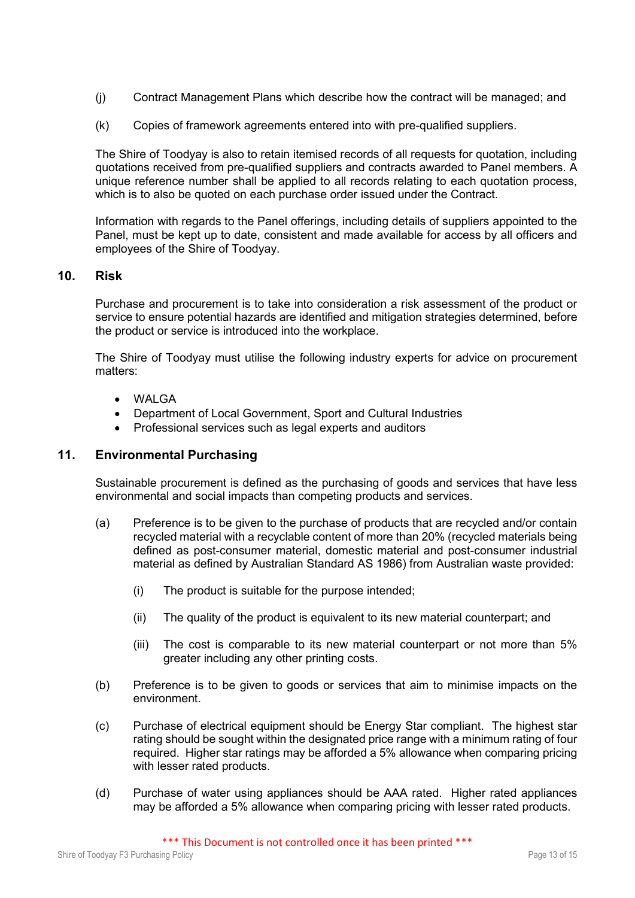- (j) Contract Management Plans which describe how the contract will be managed; and
- (k) Copies of framework agreements entered into with pre-qualified suppliers.

The Shire of Toodyay is also to retain itemised records of all requests for quotation, including quotations received from pre-qualified suppliers and contracts awarded to Panel members. A unique reference number shall be applied to all records relating to each quotation process, which is to also be quoted on each purchase order issued under the Contract.

Information with regards to the Panel offerings, including details of suppliers appointed to the Panel, must be kept up to date, consistent and made available for access by all officers and employees of the Shire of Toodyay.

## **10. Risk**

Purchase and procurement is to take into consideration a risk assessment of the product or service to ensure potential hazards are identified and mitigation strategies determined, before the product or service is introduced into the workplace.

The Shire of Toodyay must utilise the following industry experts for advice on procurement matters:

- WALGA
- Department of Local Government, Sport and Cultural Industries
- Professional services such as legal experts and auditors

## **11. Environmental Purchasing**

Sustainable procurement is defined as the purchasing of goods and services that have less environmental and social impacts than competing products and services.

- (a) Preference is to be given to the purchase of products that are recycled and/or contain recycled material with a recyclable content of more than 20% (recycled materials being defined as post-consumer material, domestic material and post-consumer industrial material as defined by Australian Standard AS 1986) from Australian waste provided:
	- (i) The product is suitable for the purpose intended;
	- (ii) The quality of the product is equivalent to its new material counterpart; and
	- (iii) The cost is comparable to its new material counterpart or not more than 5% greater including any other printing costs.
- (b) Preference is to be given to goods or services that aim to minimise impacts on the environment.
- (c) Purchase of electrical equipment should be Energy Star compliant. The highest star rating should be sought within the designated price range with a minimum rating of four required. Higher star ratings may be afforded a 5% allowance when comparing pricing with lesser rated products.
- (d) Purchase of water using appliances should be AAA rated. Higher rated appliances may be afforded a 5% allowance when comparing pricing with lesser rated products.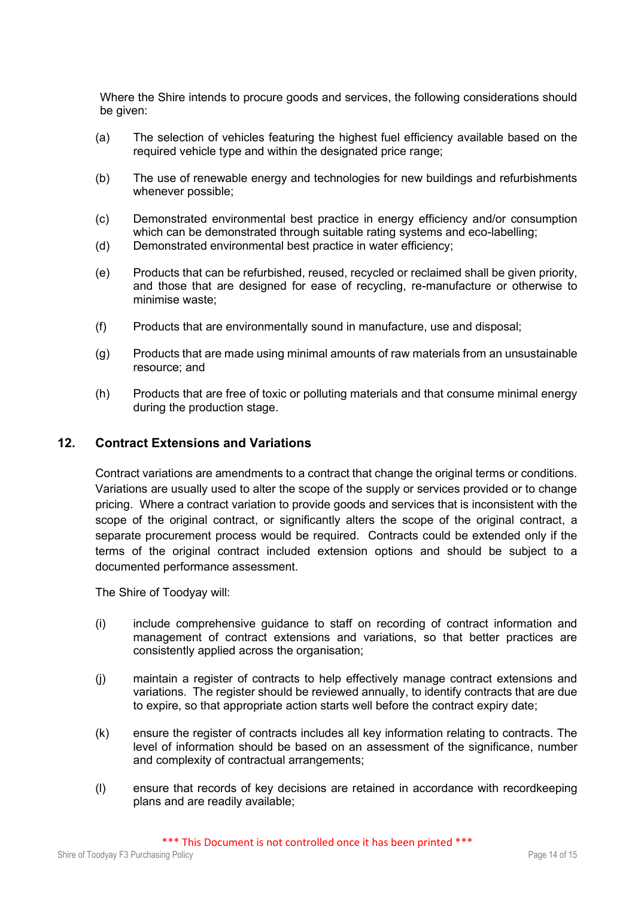Where the Shire intends to procure goods and services, the following considerations should be given:

- (a) The selection of vehicles featuring the highest fuel efficiency available based on the required vehicle type and within the designated price range;
- (b) The use of renewable energy and technologies for new buildings and refurbishments whenever possible;
- (c) Demonstrated environmental best practice in energy efficiency and/or consumption which can be demonstrated through suitable rating systems and eco-labelling:
- (d) Demonstrated environmental best practice in water efficiency;
- (e) Products that can be refurbished, reused, recycled or reclaimed shall be given priority, and those that are designed for ease of recycling, re-manufacture or otherwise to minimise waste;
- (f) Products that are environmentally sound in manufacture, use and disposal;
- (g) Products that are made using minimal amounts of raw materials from an unsustainable resource; and
- (h) Products that are free of toxic or polluting materials and that consume minimal energy during the production stage.

# **12. Contract Extensions and Variations**

Contract variations are amendments to a contract that change the original terms or conditions. Variations are usually used to alter the scope of the supply or services provided or to change pricing. Where a contract variation to provide goods and services that is inconsistent with the scope of the original contract, or significantly alters the scope of the original contract, a separate procurement process would be required. Contracts could be extended only if the terms of the original contract included extension options and should be subject to a documented performance assessment.

The Shire of Toodyay will:

- (i) include comprehensive guidance to staff on recording of contract information and management of contract extensions and variations, so that better practices are consistently applied across the organisation;
- (j) maintain a register of contracts to help effectively manage contract extensions and variations. The register should be reviewed annually, to identify contracts that are due to expire, so that appropriate action starts well before the contract expiry date;
- (k) ensure the register of contracts includes all key information relating to contracts. The level of information should be based on an assessment of the significance, number and complexity of contractual arrangements;
- (l) ensure that records of key decisions are retained in accordance with recordkeeping plans and are readily available;